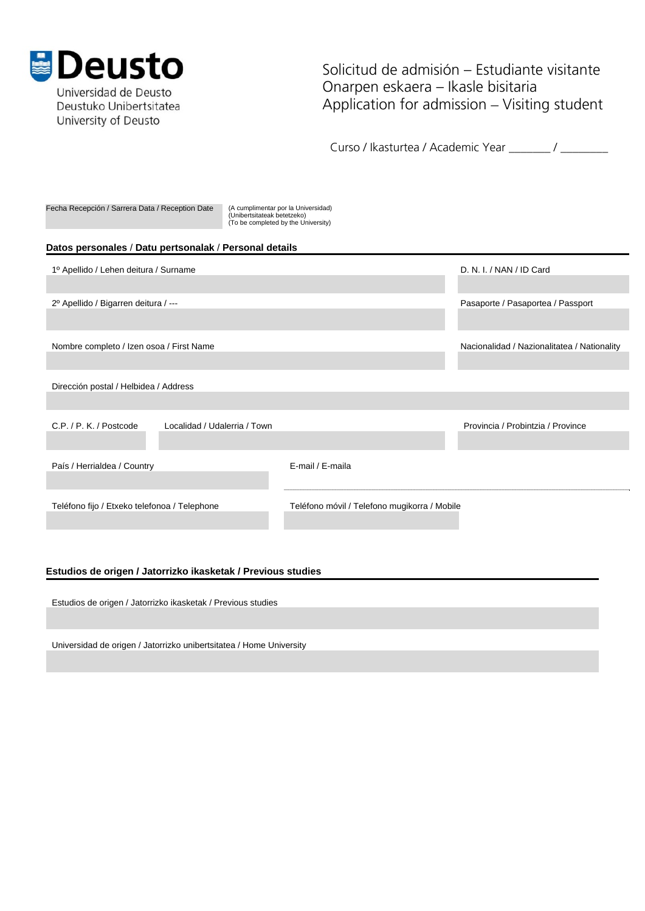

Universidad de Deusto Deustuko Unibertsitatea University of Deusto

Solicitud de admisión – Estudiante visitante Onarpen eskaera – Ikasle bisitaria Application for admission – Visiting student

Curso / Ikasturtea / Academic Year \_\_\_\_\_\_\_ / \_\_\_\_\_\_\_

| Fecha Recepción / Sarrera Data / Reception Date        | (A cumplimentar por la Universidad)<br>(Unibertsitateak betetzeko)<br>(To be completed by the University) |                                   |
|--------------------------------------------------------|-----------------------------------------------------------------------------------------------------------|-----------------------------------|
| Datos personales / Datu pertsonalak / Personal details |                                                                                                           |                                   |
| 1º Apellido / Lehen deitura / Surname                  | D. N. I. / NAN / ID Card                                                                                  |                                   |
|                                                        |                                                                                                           |                                   |
| 2º Apellido / Bigarren deitura / ---                   | Pasaporte / Pasaportea / Passport                                                                         |                                   |
|                                                        |                                                                                                           |                                   |
| Nombre completo / Izen osoa / First Name               | Nacionalidad / Nazionalitatea / Nationality                                                               |                                   |
|                                                        |                                                                                                           |                                   |
| Dirección postal / Helbidea / Address                  |                                                                                                           |                                   |
|                                                        |                                                                                                           |                                   |
| C.P. / P. K. / Postcode                                | Localidad / Udalerria / Town                                                                              | Provincia / Probintzia / Province |
|                                                        |                                                                                                           |                                   |
| País / Herrialdea / Country                            | E-mail / E-maila                                                                                          |                                   |
|                                                        |                                                                                                           |                                   |
| Teléfono fijo / Etxeko telefonoa / Telephone           | Teléfono móvil / Telefono mugikorra / Mobile                                                              |                                   |
|                                                        |                                                                                                           |                                   |
|                                                        |                                                                                                           |                                   |
|                                                        |                                                                                                           |                                   |

# **Estudios de origen / Jatorrizko ikasketak / Previous studies**

Estudios de origen / Jatorrizko ikasketak / Previous studies

Universidad de origen / Jatorrizko unibertsitatea / Home University